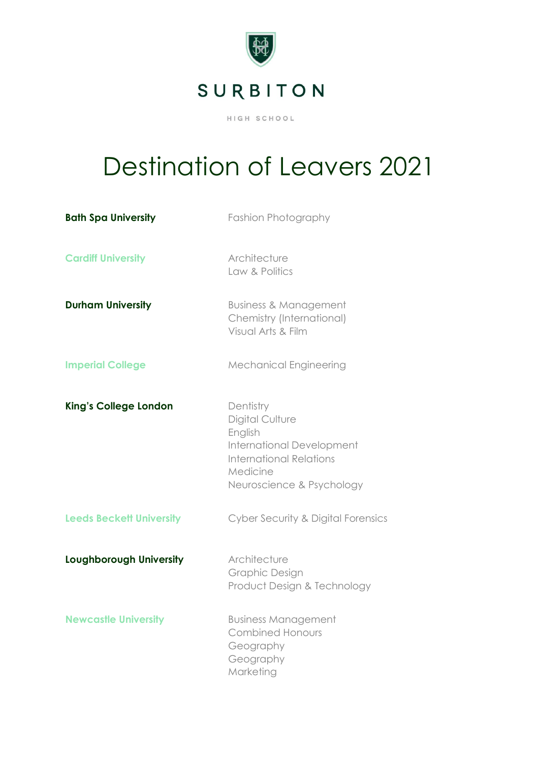

## Destination of Leavers 2021

| <b>Bath Spa University</b>      | Fashion Photography                                                                                                                                    |
|---------------------------------|--------------------------------------------------------------------------------------------------------------------------------------------------------|
| <b>Cardiff University</b>       | Architecture<br>Law & Politics                                                                                                                         |
| <b>Durham University</b>        | <b>Business &amp; Management</b><br>Chemistry (International)<br>Visual Arts & Film                                                                    |
| <b>Imperial College</b>         | <b>Mechanical Engineering</b>                                                                                                                          |
| <b>King's College London</b>    | Dentistry<br>Digital Culture<br>English<br><b>International Development</b><br><b>International Relations</b><br>Medicine<br>Neuroscience & Psychology |
| <b>Leeds Beckett University</b> | Cyber Security & Digital Forensics                                                                                                                     |
| Loughborough University         | Architecture<br>Graphic Design<br>Product Design & Technology                                                                                          |
| <b>Newcastle University</b>     | <b>Business Management</b><br><b>Combined Honours</b><br>Geography<br>Geography<br>Marketing                                                           |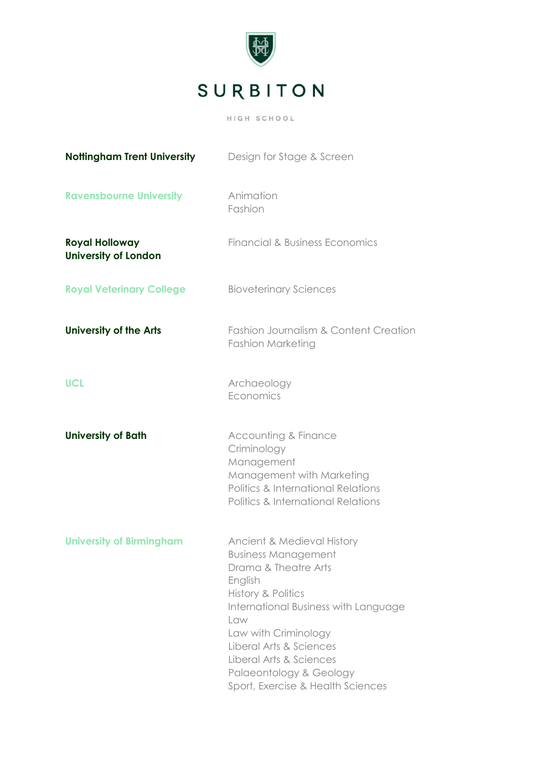

| <b>Nottingham Trent University</b>                   | Design for Stage & Screen                                                                                                                                                                                                                                                                                      |
|------------------------------------------------------|----------------------------------------------------------------------------------------------------------------------------------------------------------------------------------------------------------------------------------------------------------------------------------------------------------------|
| <b>Ravensbourne University</b>                       | Animation<br>Fashion                                                                                                                                                                                                                                                                                           |
| <b>Royal Holloway</b><br><b>University of London</b> | <b>Financial &amp; Business Economics</b>                                                                                                                                                                                                                                                                      |
| <b>Royal Veterinary College</b>                      | <b>Bioveterinary Sciences</b>                                                                                                                                                                                                                                                                                  |
| <b>University of the Arts</b>                        | <b>Fashion Journalism &amp; Content Creation</b><br><b>Fashion Marketing</b>                                                                                                                                                                                                                                   |
| <b>UCL</b>                                           | Archaeology<br>Economics                                                                                                                                                                                                                                                                                       |
| <b>University of Bath</b>                            | <b>Accounting &amp; Finance</b><br>Criminology<br>Management<br>Management with Marketing<br>Politics & International Relations<br><b>Politics &amp; International Relations</b>                                                                                                                               |
| <b>University of Birmingham</b>                      | Ancient & Medieval History<br><b>Business Management</b><br>Drama & Theatre Arts<br>English<br>History & Politics<br>International Business with Language<br>Law<br>Law with Criminology<br>Liberal Arts & Sciences<br>Liberal Arts & Sciences<br>Palaeontology & Geology<br>Sport, Exercise & Health Sciences |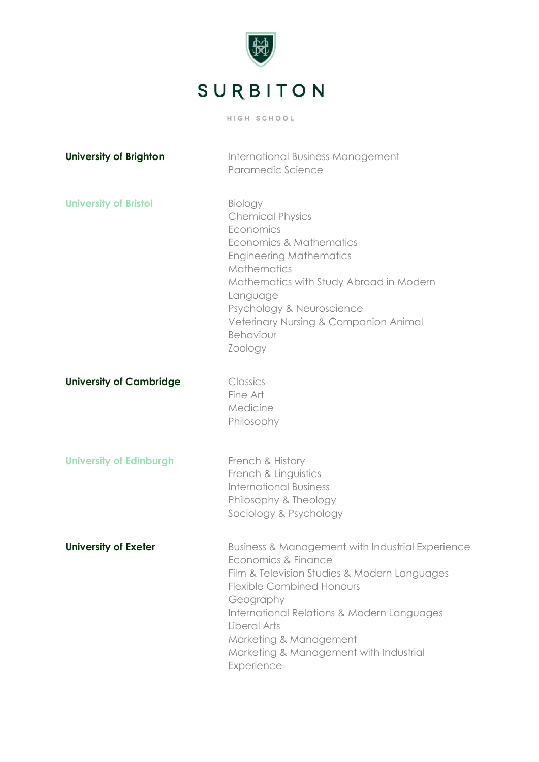

| <b>University of Brighton</b>  | International Business Management<br>Paramedic Science                                                                                                                                                                                                                                                                   |
|--------------------------------|--------------------------------------------------------------------------------------------------------------------------------------------------------------------------------------------------------------------------------------------------------------------------------------------------------------------------|
| <b>University of Bristol</b>   | <b>Biology</b><br><b>Chemical Physics</b><br>Economics<br>Economics & Mathematics<br><b>Engineering Mathematics</b><br>Mathematics<br>Mathematics with Study Abroad in Modern<br>Language<br>Psychology & Neuroscience<br>Veterinary Nursing & Companion Animal<br>Behaviour<br>Zoology                                  |
| <b>University of Cambridge</b> | Classics<br>Fine Art<br>Medicine<br>Philosophy                                                                                                                                                                                                                                                                           |
| <b>University of Edinburgh</b> | French & History<br>French & Linguistics<br><b>International Business</b><br>Philosophy & Theology<br>Sociology & Psychology                                                                                                                                                                                             |
| <b>University of Exeter</b>    | Business & Management with Industrial Experience<br>Economics & Finance<br>Film & Television Studies & Modern Languages<br><b>Flexible Combined Honours</b><br>Geography<br>International Relations & Modern Languages<br>Liberal Arts<br>Marketing & Management<br>Marketing & Management with Industrial<br>Experience |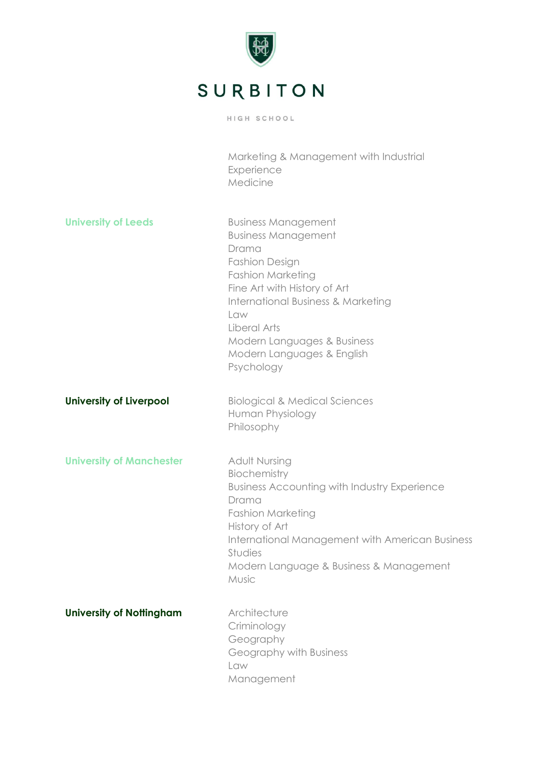

|                                 | Marketing & Management with Industrial<br>Experience<br>Medicine                                                                                                                                                                                                                                          |
|---------------------------------|-----------------------------------------------------------------------------------------------------------------------------------------------------------------------------------------------------------------------------------------------------------------------------------------------------------|
| <b>University of Leeds</b>      | <b>Business Management</b><br><b>Business Management</b><br>Drama<br><b>Fashion Design</b><br><b>Fashion Marketing</b><br>Fine Art with History of Art<br><b>International Business &amp; Marketing</b><br>Law<br>Liberal Arts<br>Modern Languages & Business<br>Modern Languages & English<br>Psychology |
| <b>University of Liverpool</b>  | <b>Biological &amp; Medical Sciences</b><br>Human Physiology<br>Philosophy                                                                                                                                                                                                                                |
| <b>University of Manchester</b> | <b>Adult Nursing</b><br>Biochemistry<br><b>Business Accounting with Industry Experience</b><br>Drama<br><b>Fashion Marketing</b><br>History of Art<br>International Management with American Business<br>Studies<br>Modern Language & Business & Management<br>Music                                      |
| <b>University of Nottingham</b> | Architecture<br>Criminology<br>Geography<br>Geography with Business<br>Law<br>Management                                                                                                                                                                                                                  |